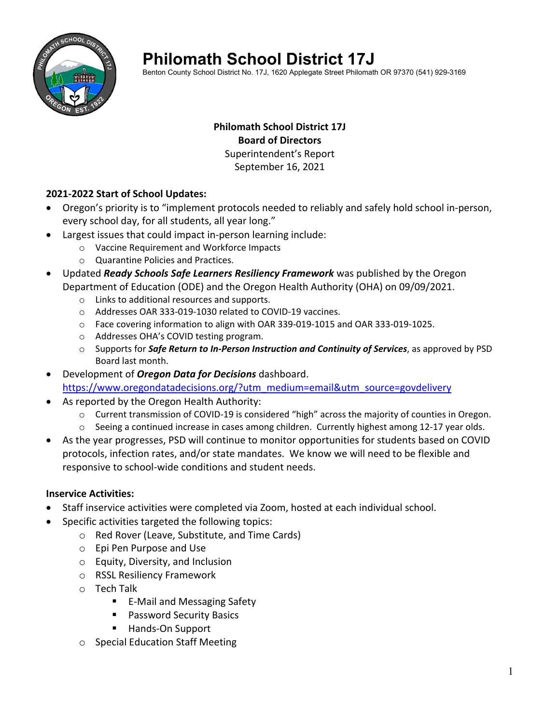

# **Philomath School District 17J**

Benton County School District No. 17J, 1620 Applegate Street Philomath OR 97370 (541) 929-3169

# **Philomath School District 17J Board of Directors** Superintendent's Report September 16, 2021

# **2021‐2022 Start of School Updates:**

- Oregon's priority is to "implement protocols needed to reliably and safely hold school in‐person, every school day, for all students, all year long."
- Largest issues that could impact in‐person learning include:
	- o Vaccine Requirement and Workforce Impacts
	- o Quarantine Policies and Practices.
- Updated *Ready Schools Safe Learners Resiliency Framework* was published by the Oregon Department of Education (ODE) and the Oregon Health Authority (OHA) on 09/09/2021.
	- o Links to additional resources and supports.
	- o Addresses OAR 333‐019‐1030 related to COVID‐19 vaccines.
	- o Face covering information to align with OAR 339‐019‐1015 and OAR 333‐019‐1025.
	- o Addresses OHA's COVID testing program.
	- o Supports for *Safe Return to In‐Person Instruction and Continuity of Services*, as approved by PSD Board last month.
- Development of *Oregon Data for Decisions* dashboard. https://www.oregondatadecisions.org/?utm\_medium=email&utm\_source=govdelivery
- As reported by the Oregon Health Authority:
	- o Current transmission of COVID‐19 is considered "high" across the majority of counties in Oregon.
	- o Seeing a continued increase in cases among children. Currently highest among 12‐17 year olds.
- As the year progresses, PSD will continue to monitor opportunities for students based on COVID protocols, infection rates, and/or state mandates. We know we will need to be flexible and responsive to school‐wide conditions and student needs.

#### **Inservice Activities:**

- Staff inservice activities were completed via Zoom, hosted at each individual school.
- Specific activities targeted the following topics:
	- o Red Rover (Leave, Substitute, and Time Cards)
	- o Epi Pen Purpose and Use
	- o Equity, Diversity, and Inclusion
	- o RSSL Resiliency Framework
	- o Tech Talk
		- E-Mail and Messaging Safety
		- **Password Security Basics**
		- Hands-On Support
	- o Special Education Staff Meeting